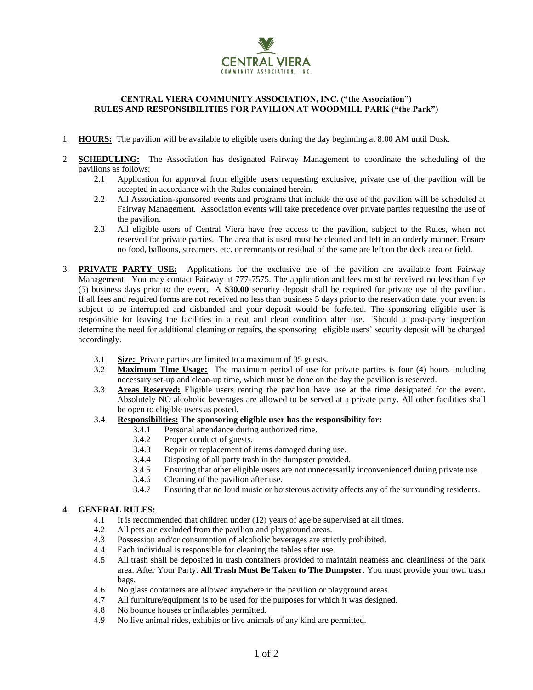

## **CENTRAL VIERA COMMUNITY ASSOCIATION, INC. ("the Association") RULES AND RESPONSIBILITIES FOR PAVILION AT WOODMILL PARK ("the Park")**

- 1. **HOURS:** The pavilion will be available to eligible users during the day beginning at 8:00 AM until Dusk.
- 2. **SCHEDULING:** The Association has designated Fairway Management to coordinate the scheduling of the pavilions as follows:
	- 2.1 Application for approval from eligible users requesting exclusive, private use of the pavilion will be accepted in accordance with the Rules contained herein.
	- 2.2 All Association-sponsored events and programs that include the use of the pavilion will be scheduled at Fairway Management. Association events will take precedence over private parties requesting the use of the pavilion.
	- 2.3 All eligible users of Central Viera have free access to the pavilion, subject to the Rules, when not reserved for private parties. The area that is used must be cleaned and left in an orderly manner. Ensure no food, balloons, streamers, etc. or remnants or residual of the same are left on the deck area or field.
- 3. **PRIVATE PARTY USE:** Applications for the exclusive use of the pavilion are available from Fairway Management. You may contact Fairway at 777-7575. The application and fees must be received no less than five (5) business days prior to the event. A **\$30.00** security deposit shall be required for private use of the pavilion. If all fees and required forms are not received no less than business 5 days prior to the reservation date, your event is subject to be interrupted and disbanded and your deposit would be forfeited. The sponsoring eligible user is responsible for leaving the facilities in a neat and clean condition after use. Should a post-party inspection determine the need for additional cleaning or repairs, the sponsoring eligible users' security deposit will be charged accordingly.
	- 3.1 **Size:** Private parties are limited to a maximum of 35 guests.
	- 3.2 **Maximum Time Usage:** The maximum period of use for private parties is four (4) hours including necessary set-up and clean-up time, which must be done on the day the pavilion is reserved.
	- 3.3 **Areas Reserved:** Eligible users renting the pavilion have use at the time designated for the event. Absolutely NO alcoholic beverages are allowed to be served at a private party. All other facilities shall be open to eligible users as posted.
	- 3.4 **Responsibilities: The sponsoring eligible user has the responsibility for:**
		- 3.4.1 Personal attendance during authorized time.
		- 3.4.2 Proper conduct of guests.
		- 3.4.3 Repair or replacement of items damaged during use.
		- 3.4.4 Disposing of all party trash in the dumpster provided.
		- 3.4.5 Ensuring that other eligible users are not unnecessarily inconvenienced during private use.
		- 3.4.6 Cleaning of the pavilion after use.
		- 3.4.7 Ensuring that no loud music or boisterous activity affects any of the surrounding residents.

## **4. GENERAL RULES:**

- 4.1 It is recommended that children under (12) years of age be supervised at all times.
- 4.2 All pets are excluded from the pavilion and playground areas.
- 4.3 Possession and/or consumption of alcoholic beverages are strictly prohibited.
- 4.4 Each individual is responsible for cleaning the tables after use.
- 4.5 All trash shall be deposited in trash containers provided to maintain neatness and cleanliness of the park area. After Your Party. **All Trash Must Be Taken to The Dumpster**. You must provide your own trash bags.
- 4.6 No glass containers are allowed anywhere in the pavilion or playground areas.
- 4.7 All furniture/equipment is to be used for the purposes for which it was designed.
- 4.8 No bounce houses or inflatables permitted.
- 4.9 No live animal rides, exhibits or live animals of any kind are permitted.